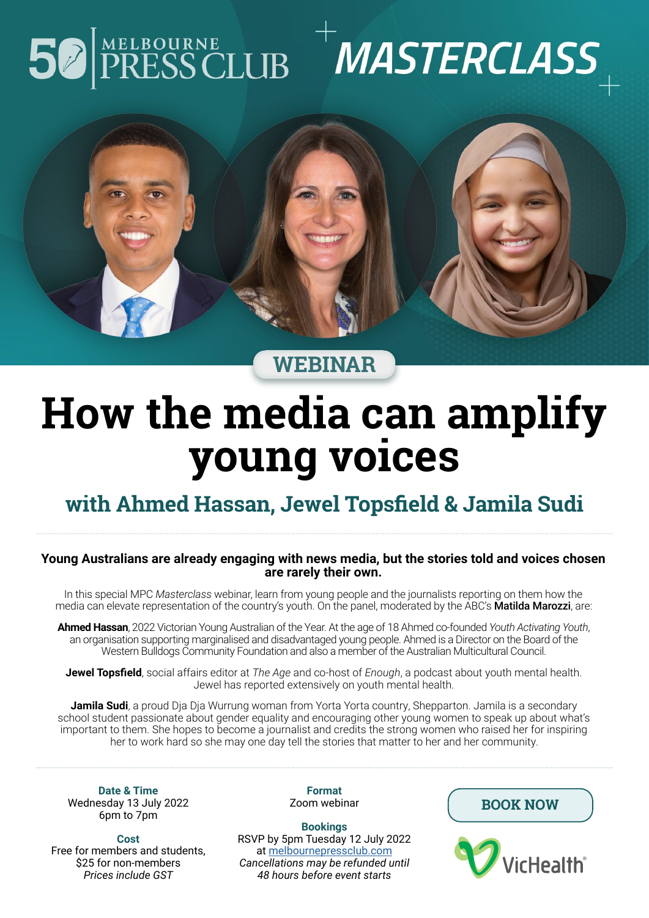## 50

# $\begin{bmatrix} \texttt{MELBOURNE} \ \texttt{PRESSCLUB} \end{bmatrix}^+ \textit{MASTERCLASS}_+$



**WEBINAR**

### **How the media can amplify young voices**

#### **with Ahmed Hassan, Jewel Topsfield & Jamila Sudi**

#### **Young Australians are already engaging with news media, but the stories told and voices chosen are rarely their own.**

In this special MPC *Masterclass* webinar, learn from young people and the journalists reporting on them how the media can elevate representation of the country's youth. On the panel, moderated by the ABC's Matilda Marozzi, are:

**Ahmed Hassan**, 2022 Victorian Young Australian of the Year. At the age of 18 Ahmed co-founded *Youth Activating Youth*, an organisation supporting marginalised and disadvantaged young people. Ahmed is a Director on the Board of the Western Bulldogs Community Foundation and also a member of the Australian Multicultural Council.

**Jewel Topsfield**, social affairs editor at *The Age* and co-host of *Enough*, a podcast about youth mental health. Jewel has reported extensively on youth mental health.

**Jamila Sudi**, a proud Dja Dja Wurrung woman from Yorta Yorta country, Shepparton. Jamila is a secondary school student passionate about gender equality and encouraging other young women to speak up about what's important to them. She hopes to become a journalist and credits the strong women who raised her for inspiring her to work hard so she may one day tell the stories that matter to her and her community.

**Date & Time** Wednesday 13 July 2022 6pm to 7pm

**Cost** Free for members and students, \$25 for non-members *Prices include GST*

**Format** Zoom webinar

**Bookings** RSVP by 5pm Tuesday 12 July 2022 at [melbournepressclub.com](http://melbournepressclub.com) *Cancellations may be refunded until 48 hours before event starts*

**[BOOK NOW](https://www.eventbrite.com.au/e/masterclass-webinar-how-the-media-can-amplify-young-voices-tickets-354371644127)**